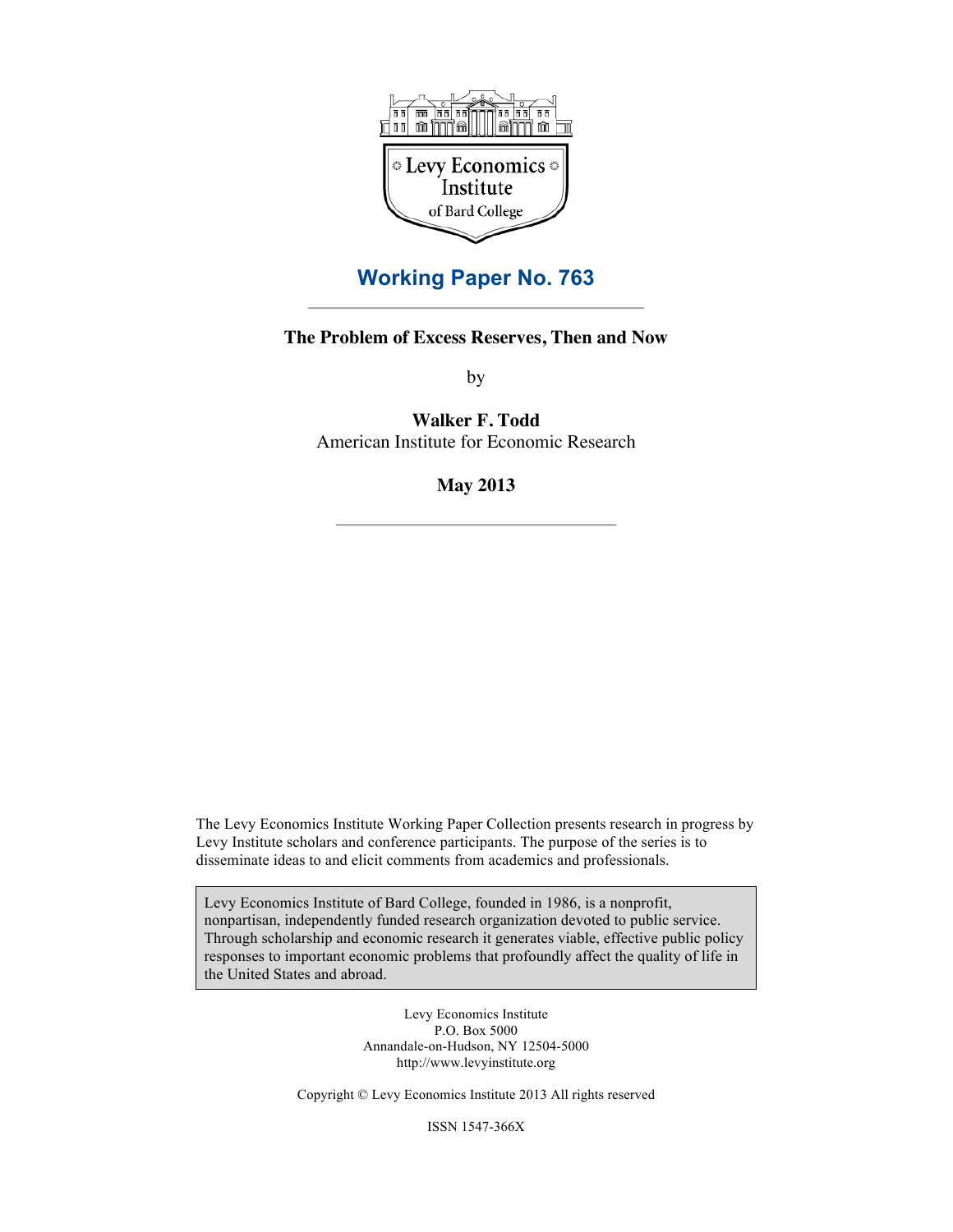

## **Working Paper No. 763**

## **The Problem of Excess Reserves, Then and Now**

by

**Walker F. Todd** American Institute for Economic Research

**May 2013**

The Levy Economics Institute Working Paper Collection presents research in progress by Levy Institute scholars and conference participants. The purpose of the series is to disseminate ideas to and elicit comments from academics and professionals.

Levy Economics Institute of Bard College, founded in 1986, is a nonprofit, nonpartisan, independently funded research organization devoted to public service. Through scholarship and economic research it generates viable, effective public policy responses to important economic problems that profoundly affect the quality of life in the United States and abroad.

> Levy Economics Institute P.O. Box 5000 Annandale-on-Hudson, NY 12504-5000 http://www.levyinstitute.org

Copyright © Levy Economics Institute 2013 All rights reserved

ISSN 1547-366X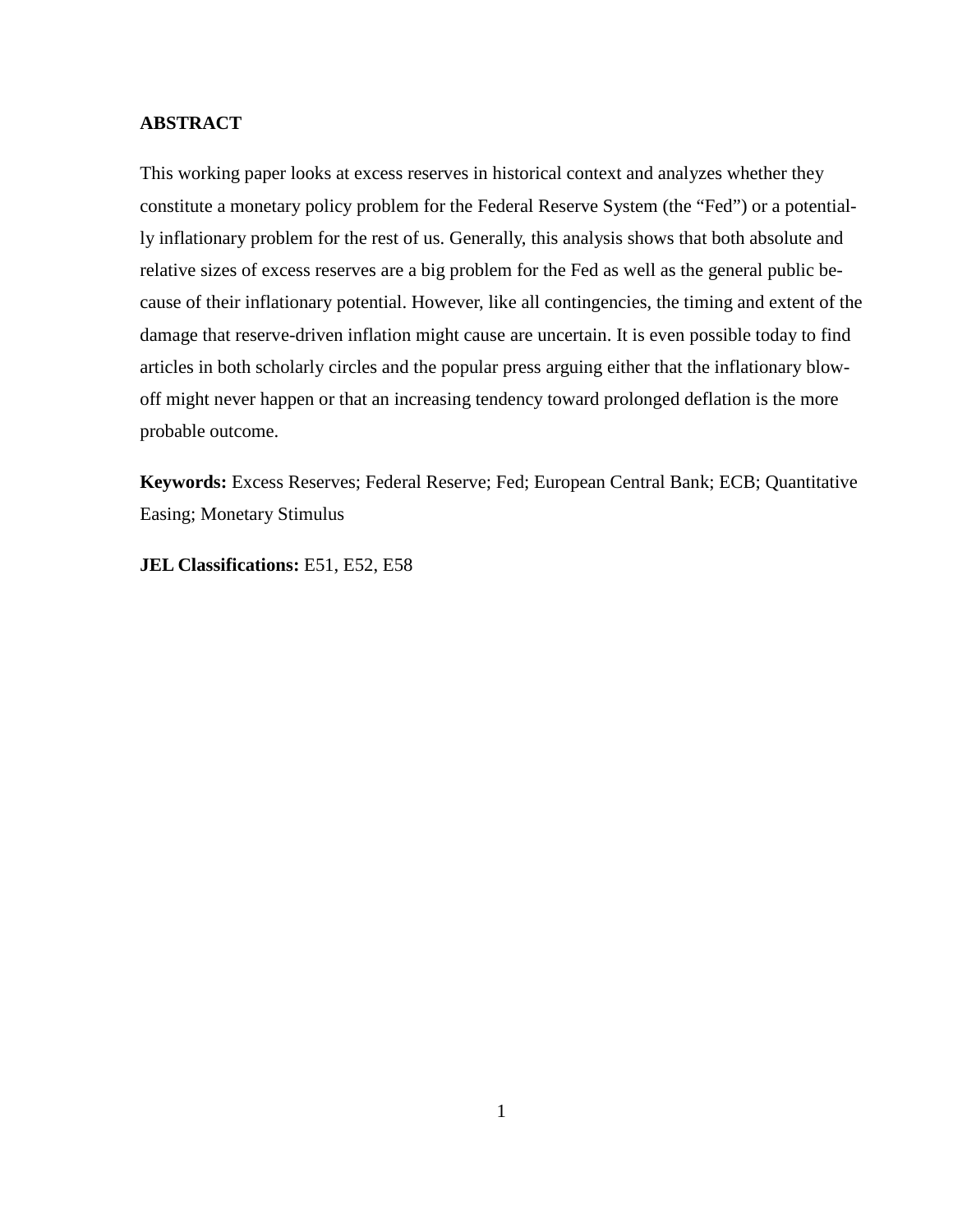## **ABSTRACT**

This working paper looks at excess reserves in historical context and analyzes whether they constitute a monetary policy problem for the Federal Reserve System (the "Fed") or a potentially inflationary problem for the rest of us. Generally, this analysis shows that both absolute and relative sizes of excess reserves are a big problem for the Fed as well as the general public because of their inflationary potential. However, like all contingencies, the timing and extent of the damage that reserve-driven inflation might cause are uncertain. It is even possible today to find articles in both scholarly circles and the popular press arguing either that the inflationary blowoff might never happen or that an increasing tendency toward prolonged deflation is the more probable outcome.

**Keywords:** Excess Reserves; Federal Reserve; Fed; European Central Bank; ECB; Quantitative Easing; Monetary Stimulus

**JEL Classifications:** E51, E52, E58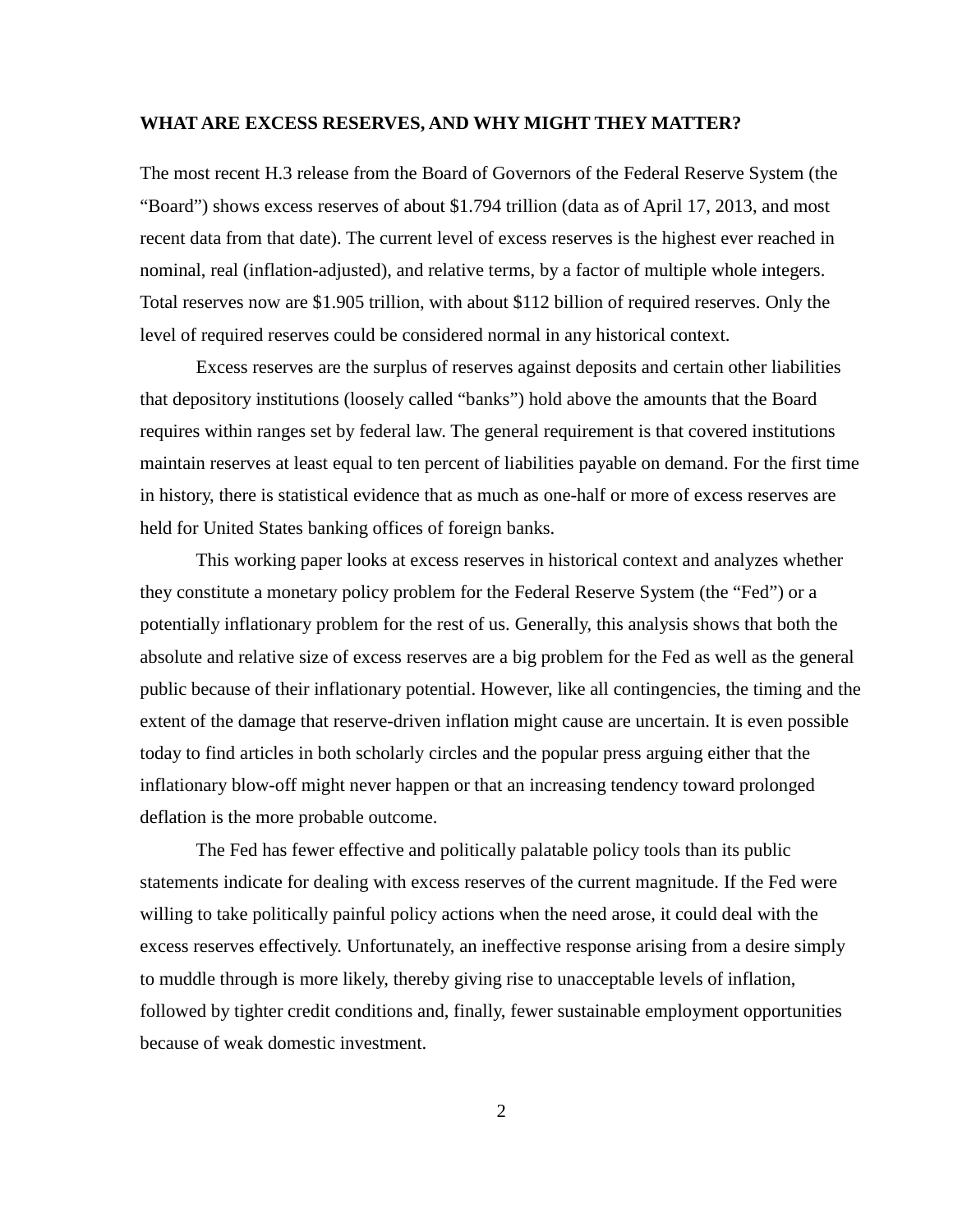#### **WHAT ARE EXCESS RESERVES, AND WHY MIGHT THEY MATTER?**

The most recent H.3 release from the Board of Governors of the Federal Reserve System (the "Board") shows excess reserves of about \$1.794 trillion (data as of April 17, 2013, and most recent data from that date). The current level of excess reserves is the highest ever reached in nominal, real (inflation-adjusted), and relative terms, by a factor of multiple whole integers. Total reserves now are \$1.905 trillion, with about \$112 billion of required reserves. Only the level of required reserves could be considered normal in any historical context.

Excess reserves are the surplus of reserves against deposits and certain other liabilities that depository institutions (loosely called "banks") hold above the amounts that the Board requires within ranges set by federal law. The general requirement is that covered institutions maintain reserves at least equal to ten percent of liabilities payable on demand. For the first time in history, there is statistical evidence that as much as one-half or more of excess reserves are held for United States banking offices of foreign banks.

This working paper looks at excess reserves in historical context and analyzes whether they constitute a monetary policy problem for the Federal Reserve System (the "Fed") or a potentially inflationary problem for the rest of us. Generally, this analysis shows that both the absolute and relative size of excess reserves are a big problem for the Fed as well as the general public because of their inflationary potential. However, like all contingencies, the timing and the extent of the damage that reserve-driven inflation might cause are uncertain. It is even possible today to find articles in both scholarly circles and the popular press arguing either that the inflationary blow-off might never happen or that an increasing tendency toward prolonged deflation is the more probable outcome.

The Fed has fewer effective and politically palatable policy tools than its public statements indicate for dealing with excess reserves of the current magnitude. If the Fed were willing to take politically painful policy actions when the need arose, it could deal with the excess reserves effectively. Unfortunately, an ineffective response arising from a desire simply to muddle through is more likely, thereby giving rise to unacceptable levels of inflation, followed by tighter credit conditions and, finally, fewer sustainable employment opportunities because of weak domestic investment.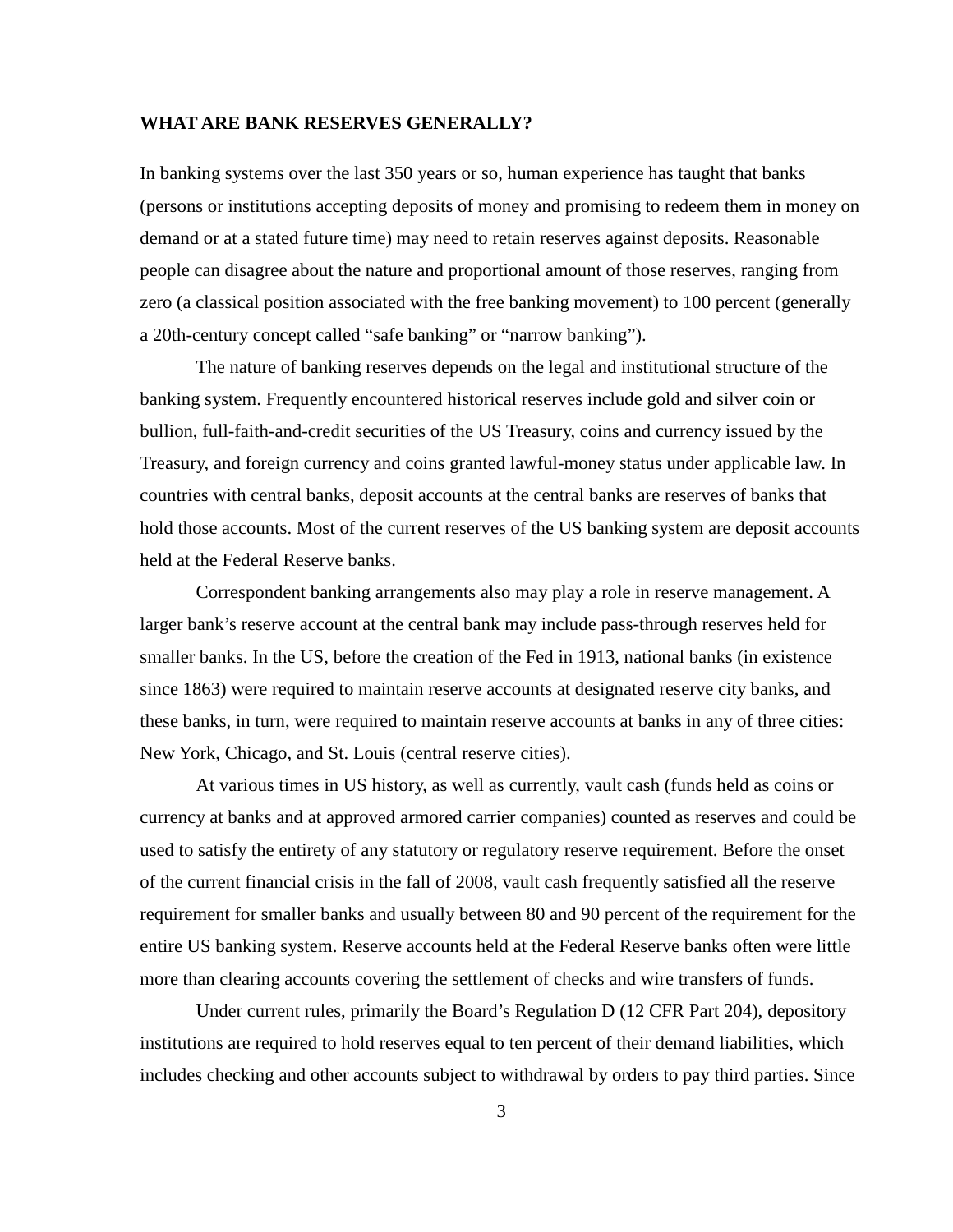#### **WHAT ARE BANK RESERVES GENERALLY?**

In banking systems over the last 350 years or so, human experience has taught that banks (persons or institutions accepting deposits of money and promising to redeem them in money on demand or at a stated future time) may need to retain reserves against deposits. Reasonable people can disagree about the nature and proportional amount of those reserves, ranging from zero (a classical position associated with the free banking movement) to 100 percent (generally a 20th-century concept called "safe banking" or "narrow banking").

The nature of banking reserves depends on the legal and institutional structure of the banking system. Frequently encountered historical reserves include gold and silver coin or bullion, full-faith-and-credit securities of the US Treasury, coins and currency issued by the Treasury, and foreign currency and coins granted lawful-money status under applicable law. In countries with central banks, deposit accounts at the central banks are reserves of banks that hold those accounts. Most of the current reserves of the US banking system are deposit accounts held at the Federal Reserve banks.

Correspondent banking arrangements also may play a role in reserve management. A larger bank's reserve account at the central bank may include pass-through reserves held for smaller banks. In the US, before the creation of the Fed in 1913, national banks (in existence since 1863) were required to maintain reserve accounts at designated reserve city banks, and these banks, in turn, were required to maintain reserve accounts at banks in any of three cities: New York, Chicago, and St. Louis (central reserve cities).

At various times in US history, as well as currently, vault cash (funds held as coins or currency at banks and at approved armored carrier companies) counted as reserves and could be used to satisfy the entirety of any statutory or regulatory reserve requirement. Before the onset of the current financial crisis in the fall of 2008, vault cash frequently satisfied all the reserve requirement for smaller banks and usually between 80 and 90 percent of the requirement for the entire US banking system. Reserve accounts held at the Federal Reserve banks often were little more than clearing accounts covering the settlement of checks and wire transfers of funds.

Under current rules, primarily the Board's Regulation D (12 CFR Part 204), depository institutions are required to hold reserves equal to ten percent of their demand liabilities, which includes checking and other accounts subject to withdrawal by orders to pay third parties. Since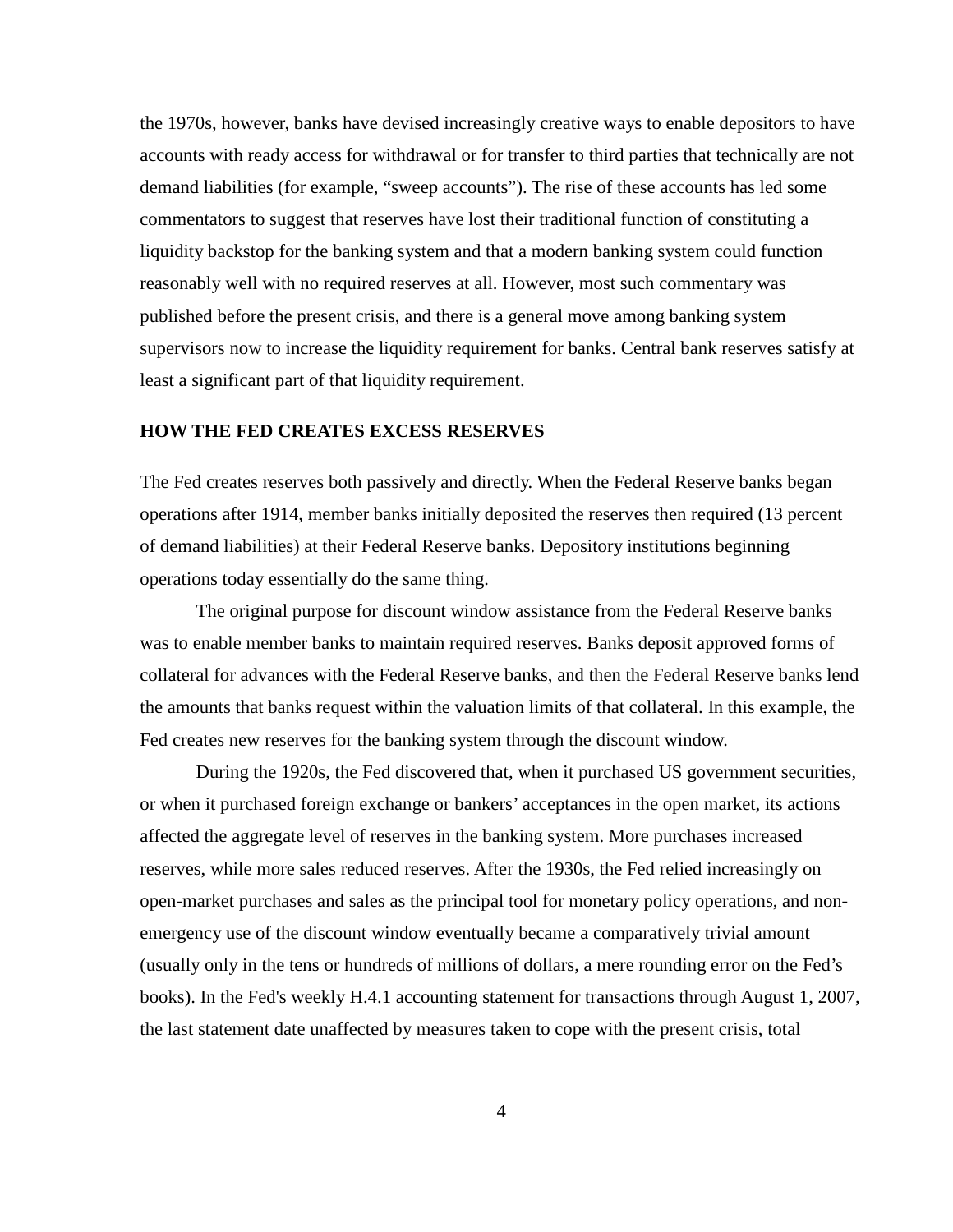the 1970s, however, banks have devised increasingly creative ways to enable depositors to have accounts with ready access for withdrawal or for transfer to third parties that technically are not demand liabilities (for example, "sweep accounts"). The rise of these accounts has led some commentators to suggest that reserves have lost their traditional function of constituting a liquidity backstop for the banking system and that a modern banking system could function reasonably well with no required reserves at all. However, most such commentary was published before the present crisis, and there is a general move among banking system supervisors now to increase the liquidity requirement for banks. Central bank reserves satisfy at least a significant part of that liquidity requirement.

#### **HOW THE FED CREATES EXCESS RESERVES**

The Fed creates reserves both passively and directly. When the Federal Reserve banks began operations after 1914, member banks initially deposited the reserves then required (13 percent of demand liabilities) at their Federal Reserve banks. Depository institutions beginning operations today essentially do the same thing.

The original purpose for discount window assistance from the Federal Reserve banks was to enable member banks to maintain required reserves. Banks deposit approved forms of collateral for advances with the Federal Reserve banks, and then the Federal Reserve banks lend the amounts that banks request within the valuation limits of that collateral. In this example, the Fed creates new reserves for the banking system through the discount window.

During the 1920s, the Fed discovered that, when it purchased US government securities, or when it purchased foreign exchange or bankers' acceptances in the open market, its actions affected the aggregate level of reserves in the banking system. More purchases increased reserves, while more sales reduced reserves. After the 1930s, the Fed relied increasingly on open-market purchases and sales as the principal tool for monetary policy operations, and nonemergency use of the discount window eventually became a comparatively trivial amount (usually only in the tens or hundreds of millions of dollars, a mere rounding error on the Fed's books). In the Fed's weekly H.4.1 accounting statement for transactions through August 1, 2007, the last statement date unaffected by measures taken to cope with the present crisis, total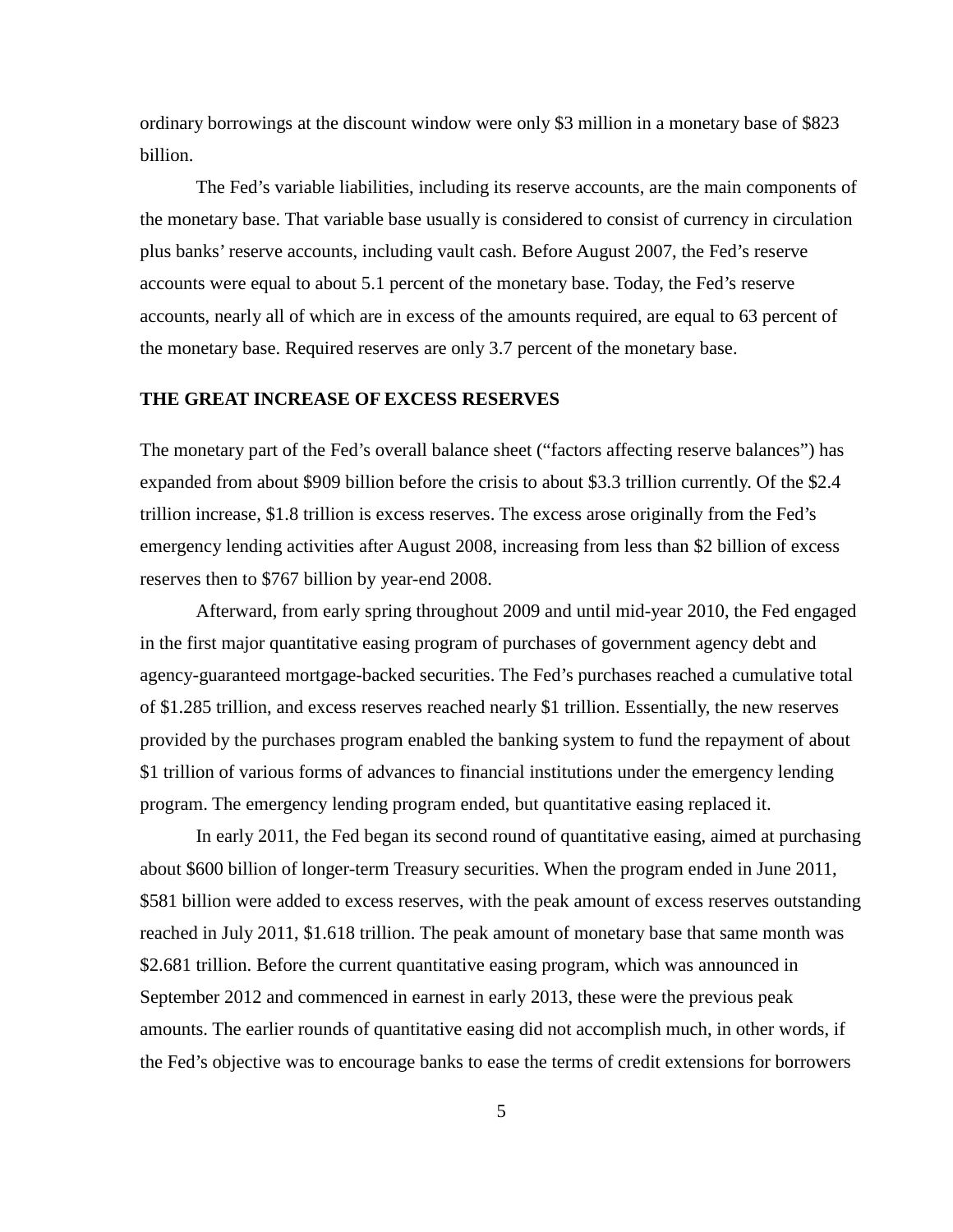ordinary borrowings at the discount window were only \$3 million in a monetary base of \$823 billion.

The Fed's variable liabilities, including its reserve accounts, are the main components of the monetary base. That variable base usually is considered to consist of currency in circulation plus banks' reserve accounts, including vault cash. Before August 2007, the Fed's reserve accounts were equal to about 5.1 percent of the monetary base. Today, the Fed's reserve accounts, nearly all of which are in excess of the amounts required, are equal to 63 percent of the monetary base. Required reserves are only 3.7 percent of the monetary base.

#### **THE GREAT INCREASE OF EXCESS RESERVES**

The monetary part of the Fed's overall balance sheet ("factors affecting reserve balances") has expanded from about \$909 billion before the crisis to about \$3.3 trillion currently. Of the \$2.4 trillion increase, \$1.8 trillion is excess reserves. The excess arose originally from the Fed's emergency lending activities after August 2008, increasing from less than \$2 billion of excess reserves then to \$767 billion by year-end 2008.

Afterward, from early spring throughout 2009 and until mid-year 2010, the Fed engaged in the first major quantitative easing program of purchases of government agency debt and agency-guaranteed mortgage-backed securities. The Fed's purchases reached a cumulative total of \$1.285 trillion, and excess reserves reached nearly \$1 trillion. Essentially, the new reserves provided by the purchases program enabled the banking system to fund the repayment of about \$1 trillion of various forms of advances to financial institutions under the emergency lending program. The emergency lending program ended, but quantitative easing replaced it.

In early 2011, the Fed began its second round of quantitative easing, aimed at purchasing about \$600 billion of longer-term Treasury securities. When the program ended in June 2011, \$581 billion were added to excess reserves, with the peak amount of excess reserves outstanding reached in July 2011, \$1.618 trillion. The peak amount of monetary base that same month was \$2.681 trillion. Before the current quantitative easing program, which was announced in September 2012 and commenced in earnest in early 2013, these were the previous peak amounts. The earlier rounds of quantitative easing did not accomplish much, in other words, if the Fed's objective was to encourage banks to ease the terms of credit extensions for borrowers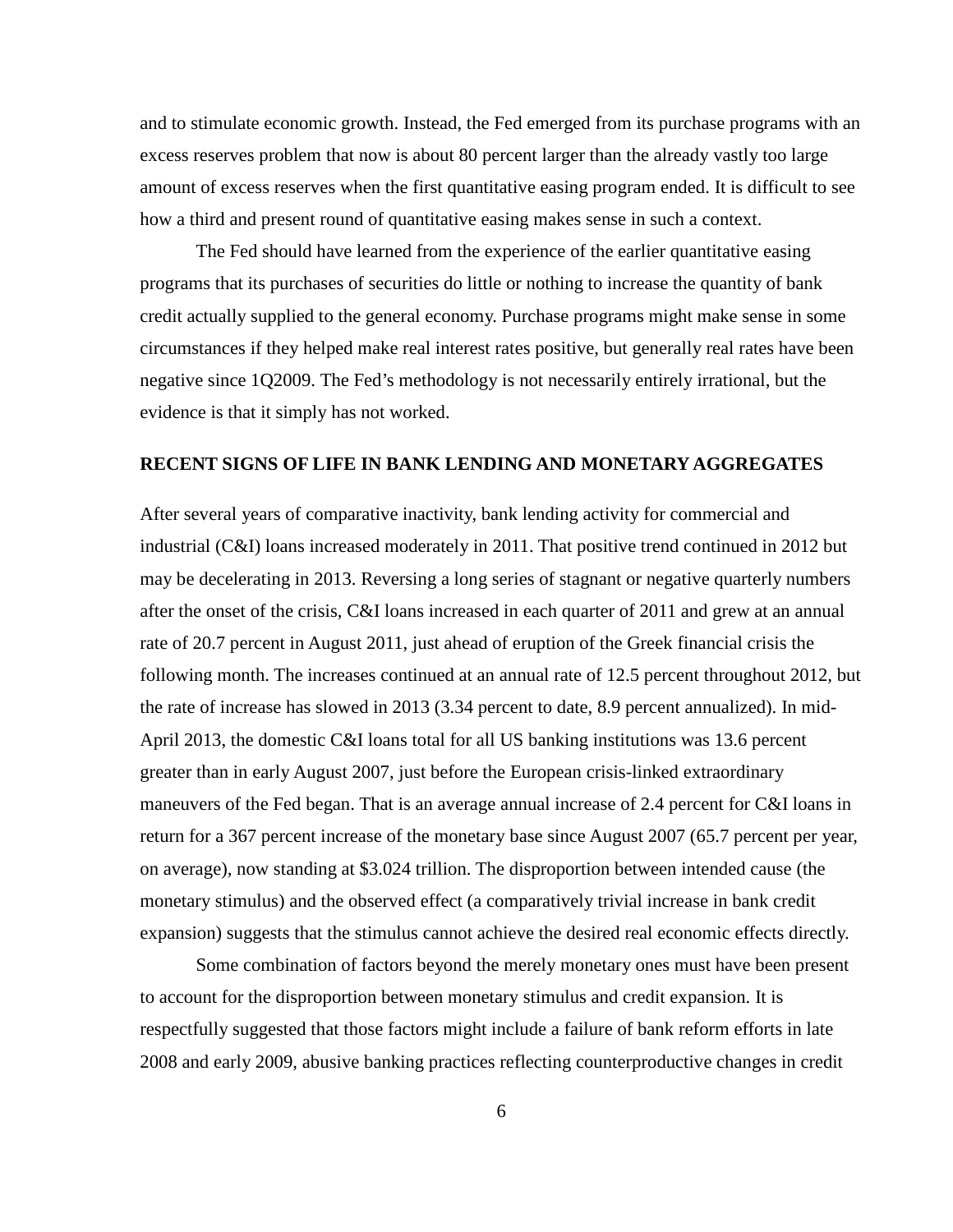and to stimulate economic growth. Instead, the Fed emerged from its purchase programs with an excess reserves problem that now is about 80 percent larger than the already vastly too large amount of excess reserves when the first quantitative easing program ended. It is difficult to see how a third and present round of quantitative easing makes sense in such a context.

The Fed should have learned from the experience of the earlier quantitative easing programs that its purchases of securities do little or nothing to increase the quantity of bank credit actually supplied to the general economy. Purchase programs might make sense in some circumstances if they helped make real interest rates positive, but generally real rates have been negative since 1Q2009. The Fed's methodology is not necessarily entirely irrational, but the evidence is that it simply has not worked.

## **RECENT SIGNS OF LIFE IN BANK LENDING AND MONETARY AGGREGATES**

After several years of comparative inactivity, bank lending activity for commercial and industrial (C&I) loans increased moderately in 2011. That positive trend continued in 2012 but may be decelerating in 2013. Reversing a long series of stagnant or negative quarterly numbers after the onset of the crisis, C&I loans increased in each quarter of 2011 and grew at an annual rate of 20.7 percent in August 2011, just ahead of eruption of the Greek financial crisis the following month. The increases continued at an annual rate of 12.5 percent throughout 2012, but the rate of increase has slowed in 2013 (3.34 percent to date, 8.9 percent annualized). In mid-April 2013, the domestic C&I loans total for all US banking institutions was 13.6 percent greater than in early August 2007, just before the European crisis-linked extraordinary maneuvers of the Fed began. That is an average annual increase of 2.4 percent for C&I loans in return for a 367 percent increase of the monetary base since August 2007 (65.7 percent per year, on average), now standing at \$3.024 trillion. The disproportion between intended cause (the monetary stimulus) and the observed effect (a comparatively trivial increase in bank credit expansion) suggests that the stimulus cannot achieve the desired real economic effects directly.

Some combination of factors beyond the merely monetary ones must have been present to account for the disproportion between monetary stimulus and credit expansion. It is respectfully suggested that those factors might include a failure of bank reform efforts in late 2008 and early 2009, abusive banking practices reflecting counterproductive changes in credit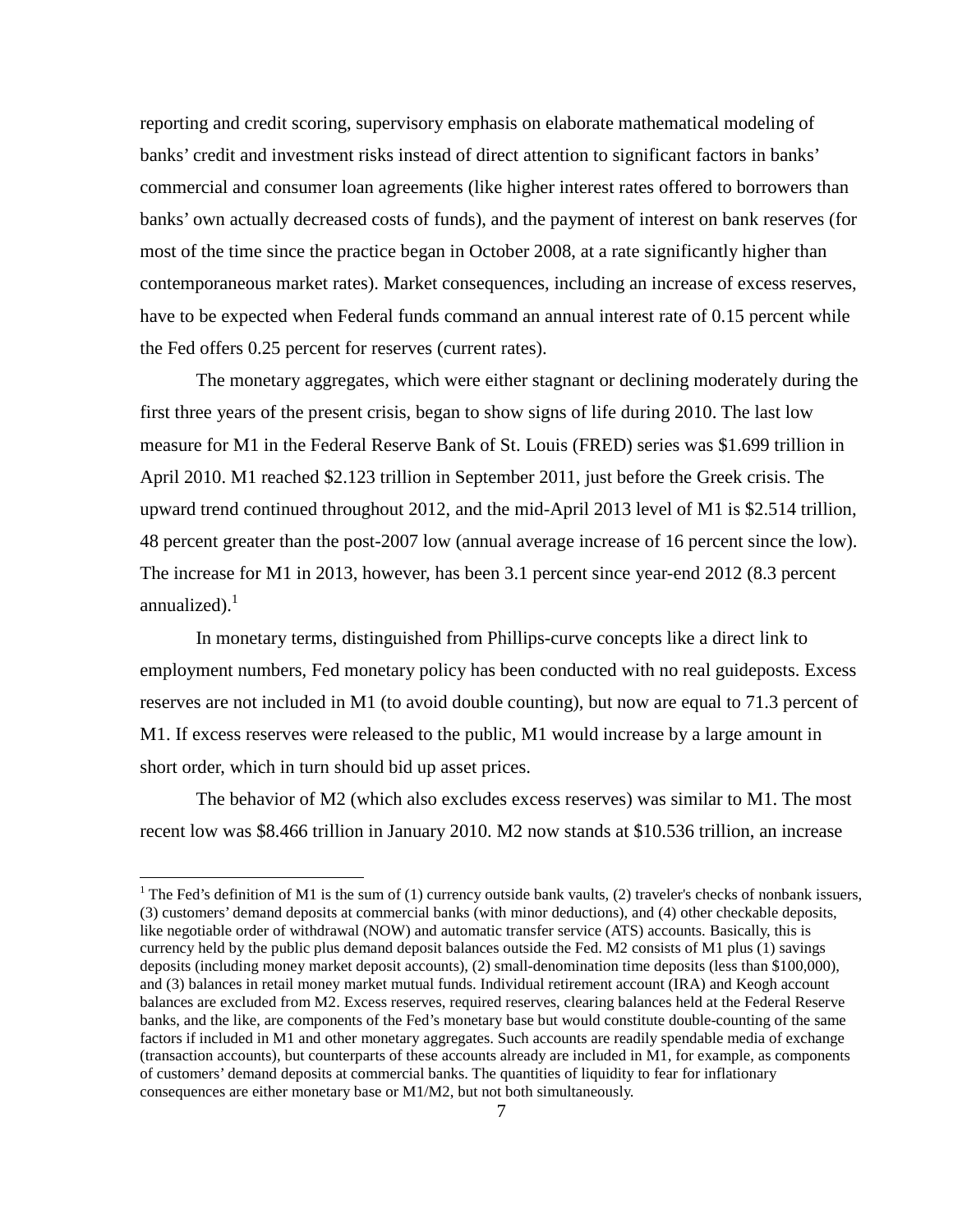reporting and credit scoring, supervisory emphasis on elaborate mathematical modeling of banks' credit and investment risks instead of direct attention to significant factors in banks' commercial and consumer loan agreements (like higher interest rates offered to borrowers than banks' own actually decreased costs of funds), and the payment of interest on bank reserves (for most of the time since the practice began in October 2008, at a rate significantly higher than contemporaneous market rates). Market consequences, including an increase of excess reserves, have to be expected when Federal funds command an annual interest rate of 0.15 percent while the Fed offers 0.25 percent for reserves (current rates).

The monetary aggregates, which were either stagnant or declining moderately during the first three years of the present crisis, began to show signs of life during 2010. The last low measure for M1 in the Federal Reserve Bank of St. Louis (FRED) series was \$1.699 trillion in April 2010. M1 reached \$2.123 trillion in September 2011, just before the Greek crisis. The upward trend continued throughout 2012, and the mid-April 2013 level of M1 is \$2.514 trillion, 48 percent greater than the post-2007 low (annual average increase of 16 percent since the low). The increase for M1 in 2013, however, has been 3.1 percent since year-end 2012 (8.3 percent annualized). $1$ 

In monetary terms, distinguished from Phillips-curve concepts like a direct link to employment numbers, Fed monetary policy has been conducted with no real guideposts. Excess reserves are not included in M1 (to avoid double counting), but now are equal to 71.3 percent of M1. If excess reserves were released to the public, M1 would increase by a large amount in short order, which in turn should bid up asset prices.

The behavior of M2 (which also excludes excess reserves) was similar to M1. The most recent low was \$8.466 trillion in January 2010. M2 now stands at \$10.536 trillion, an increase

<span id="page-7-0"></span><sup>&</sup>lt;sup>1</sup> The Fed's definition of M1 is the sum of (1) currency outside bank vaults, (2) traveler's checks of nonbank issuers, (3) customers' demand deposits at commercial banks (with minor deductions), and (4) other checkable deposits, like negotiable order of withdrawal (NOW) and automatic transfer service (ATS) accounts. Basically, this is currency held by the public plus demand deposit balances outside the Fed. M2 consists of M1 plus (1) savings deposits (including money market deposit accounts), (2) small-denomination time deposits (less than \$100,000), and (3) balances in retail money market mutual funds. Individual retirement account (IRA) and Keogh account balances are excluded from M2. Excess reserves, required reserves, clearing balances held at the Federal Reserve banks, and the like, are components of the Fed's monetary base but would constitute double-counting of the same factors if included in M1 and other monetary aggregates. Such accounts are readily spendable media of exchange (transaction accounts), but counterparts of these accounts already are included in M1, for example, as components of customers' demand deposits at commercial banks. The quantities of liquidity to fear for inflationary consequences are either monetary base or M1/M2, but not both simultaneously.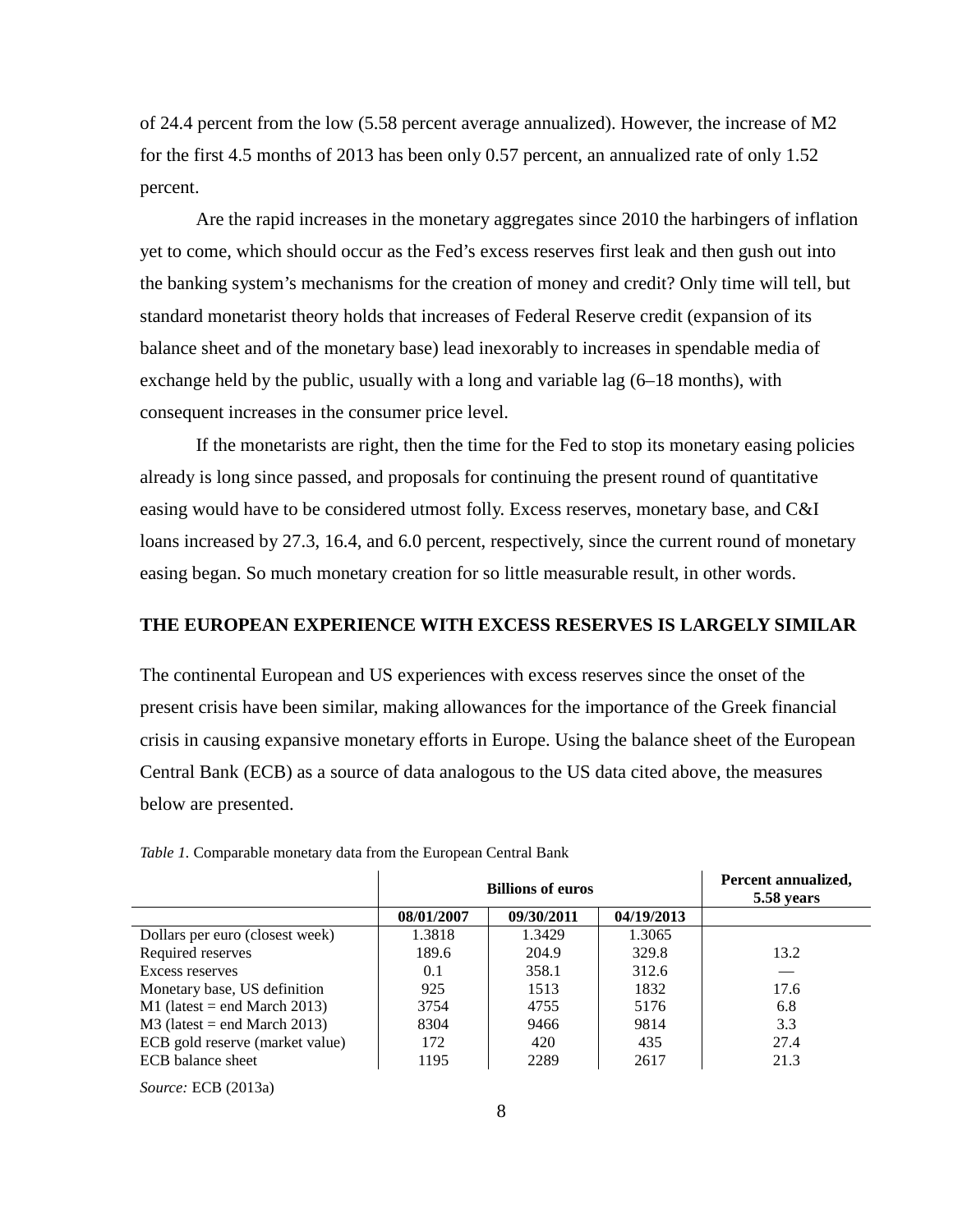of 24.4 percent from the low (5.58 percent average annualized). However, the increase of M2 for the first 4.5 months of 2013 has been only 0.57 percent, an annualized rate of only 1.52 percent.

Are the rapid increases in the monetary aggregates since 2010 the harbingers of inflation yet to come, which should occur as the Fed's excess reserves first leak and then gush out into the banking system's mechanisms for the creation of money and credit? Only time will tell, but standard monetarist theory holds that increases of Federal Reserve credit (expansion of its balance sheet and of the monetary base) lead inexorably to increases in spendable media of exchange held by the public, usually with a long and variable lag (6–18 months), with consequent increases in the consumer price level.

If the monetarists are right, then the time for the Fed to stop its monetary easing policies already is long since passed, and proposals for continuing the present round of quantitative easing would have to be considered utmost folly. Excess reserves, monetary base, and C&I loans increased by 27.3, 16.4, and 6.0 percent, respectively, since the current round of monetary easing began. So much monetary creation for so little measurable result, in other words.

## **THE EUROPEAN EXPERIENCE WITH EXCESS RESERVES IS LARGELY SIMILAR**

The continental European and US experiences with excess reserves since the onset of the present crisis have been similar, making allowances for the importance of the Greek financial crisis in causing expansive monetary efforts in Europe. Using the balance sheet of the European Central Bank (ECB) as a source of data analogous to the US data cited above, the measures below are presented.

|                                 | <b>Billions of euros</b> |            |            | Percent annualized,<br>5.58 years |
|---------------------------------|--------------------------|------------|------------|-----------------------------------|
|                                 | 08/01/2007               | 09/30/2011 | 04/19/2013 |                                   |
| Dollars per euro (closest week) | 1.3818                   | 1.3429     | 1.3065     |                                   |
| Required reserves               | 189.6                    | 204.9      | 329.8      | 13.2                              |
| Excess reserves                 | 0.1                      | 358.1      | 312.6      |                                   |
| Monetary base, US definition    | 925                      | 1513       | 1832       | 17.6                              |
| $M1$ (latest = end March 2013)  | 3754                     | 4755       | 5176       | 6.8                               |
| $M3$ (latest = end March 2013)  | 8304                     | 9466       | 9814       | 3.3                               |
| ECB gold reserve (market value) | 172                      | 420        | 435        | 27.4                              |
| ECB balance sheet               | 1195                     | 2289       | 2617       | 21.3                              |

*Table 1.* Comparable monetary data from the European Central Bank

*Source:* ECB (2013a)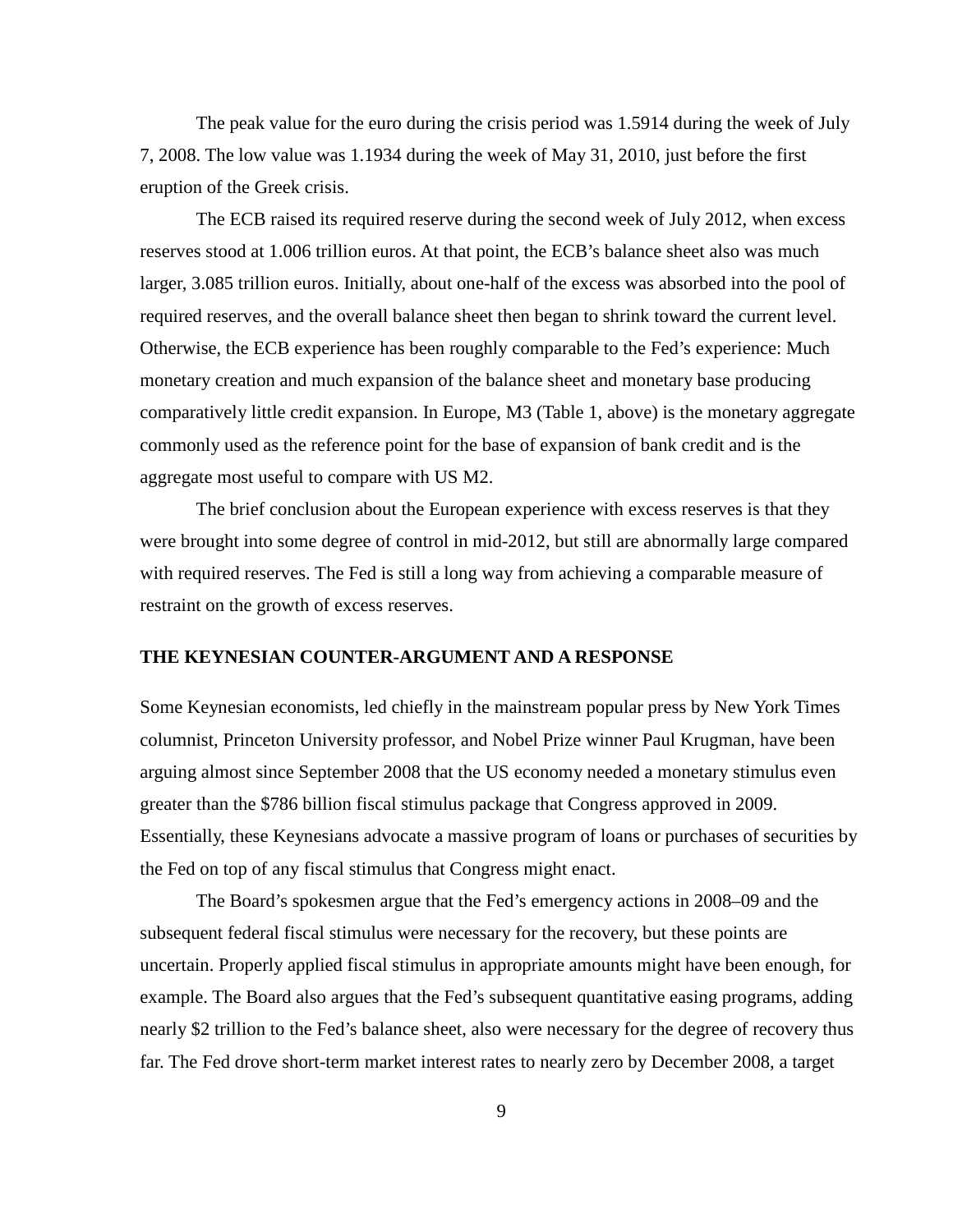The peak value for the euro during the crisis period was 1.5914 during the week of July 7, 2008. The low value was 1.1934 during the week of May 31, 2010, just before the first eruption of the Greek crisis.

The ECB raised its required reserve during the second week of July 2012, when excess reserves stood at 1.006 trillion euros. At that point, the ECB's balance sheet also was much larger, 3.085 trillion euros. Initially, about one-half of the excess was absorbed into the pool of required reserves, and the overall balance sheet then began to shrink toward the current level. Otherwise, the ECB experience has been roughly comparable to the Fed's experience: Much monetary creation and much expansion of the balance sheet and monetary base producing comparatively little credit expansion. In Europe, M3 (Table 1, above) is the monetary aggregate commonly used as the reference point for the base of expansion of bank credit and is the aggregate most useful to compare with US M2.

The brief conclusion about the European experience with excess reserves is that they were brought into some degree of control in mid-2012, but still are abnormally large compared with required reserves. The Fed is still a long way from achieving a comparable measure of restraint on the growth of excess reserves.

#### **THE KEYNESIAN COUNTER-ARGUMENT AND A RESPONSE**

Some Keynesian economists, led chiefly in the mainstream popular press by New York Times columnist, Princeton University professor, and Nobel Prize winner Paul Krugman, have been arguing almost since September 2008 that the US economy needed a monetary stimulus even greater than the \$786 billion fiscal stimulus package that Congress approved in 2009. Essentially, these Keynesians advocate a massive program of loans or purchases of securities by the Fed on top of any fiscal stimulus that Congress might enact.

The Board's spokesmen argue that the Fed's emergency actions in 2008–09 and the subsequent federal fiscal stimulus were necessary for the recovery, but these points are uncertain. Properly applied fiscal stimulus in appropriate amounts might have been enough, for example. The Board also argues that the Fed's subsequent quantitative easing programs, adding nearly \$2 trillion to the Fed's balance sheet, also were necessary for the degree of recovery thus far. The Fed drove short-term market interest rates to nearly zero by December 2008, a target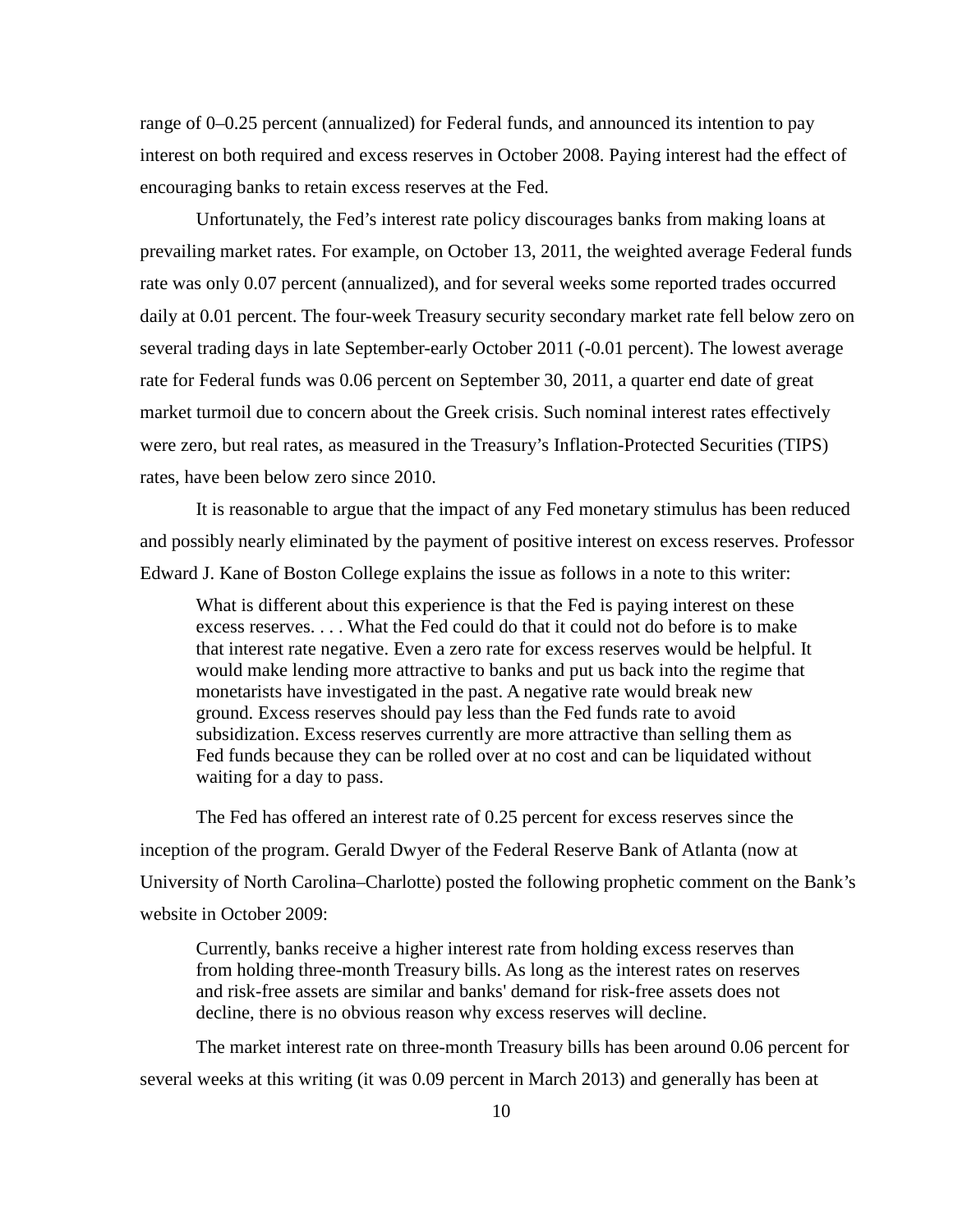range of 0–0.25 percent (annualized) for Federal funds, and announced its intention to pay interest on both required and excess reserves in October 2008. Paying interest had the effect of encouraging banks to retain excess reserves at the Fed.

Unfortunately, the Fed's interest rate policy discourages banks from making loans at prevailing market rates. For example, on October 13, 2011, the weighted average Federal funds rate was only 0.07 percent (annualized), and for several weeks some reported trades occurred daily at 0.01 percent. The four-week Treasury security secondary market rate fell below zero on several trading days in late September-early October 2011 (-0.01 percent). The lowest average rate for Federal funds was 0.06 percent on September 30, 2011, a quarter end date of great market turmoil due to concern about the Greek crisis. Such nominal interest rates effectively were zero, but real rates, as measured in the Treasury's Inflation-Protected Securities (TIPS) rates, have been below zero since 2010.

It is reasonable to argue that the impact of any Fed monetary stimulus has been reduced and possibly nearly eliminated by the payment of positive interest on excess reserves. Professor Edward J. Kane of Boston College explains the issue as follows in a note to this writer:

What is different about this experience is that the Fed is paying interest on these excess reserves. . . . What the Fed could do that it could not do before is to make that interest rate negative. Even a zero rate for excess reserves would be helpful. It would make lending more attractive to banks and put us back into the regime that monetarists have investigated in the past. A negative rate would break new ground. Excess reserves should pay less than the Fed funds rate to avoid subsidization. Excess reserves currently are more attractive than selling them as Fed funds because they can be rolled over at no cost and can be liquidated without waiting for a day to pass.

The Fed has offered an interest rate of 0.25 percent for excess reserves since the inception of the program. Gerald Dwyer of the Federal Reserve Bank of Atlanta (now at University of North Carolina–Charlotte) posted the following prophetic comment on the Bank's website in October 2009:

Currently, banks receive a higher interest rate from holding excess reserves than from holding three-month Treasury bills. As long as the interest rates on reserves and risk-free assets are similar and banks' demand for risk-free assets does not decline, there is no obvious reason why excess reserves will decline.

The market interest rate on three-month Treasury bills has been around 0.06 percent for several weeks at this writing (it was 0.09 percent in March 2013) and generally has been at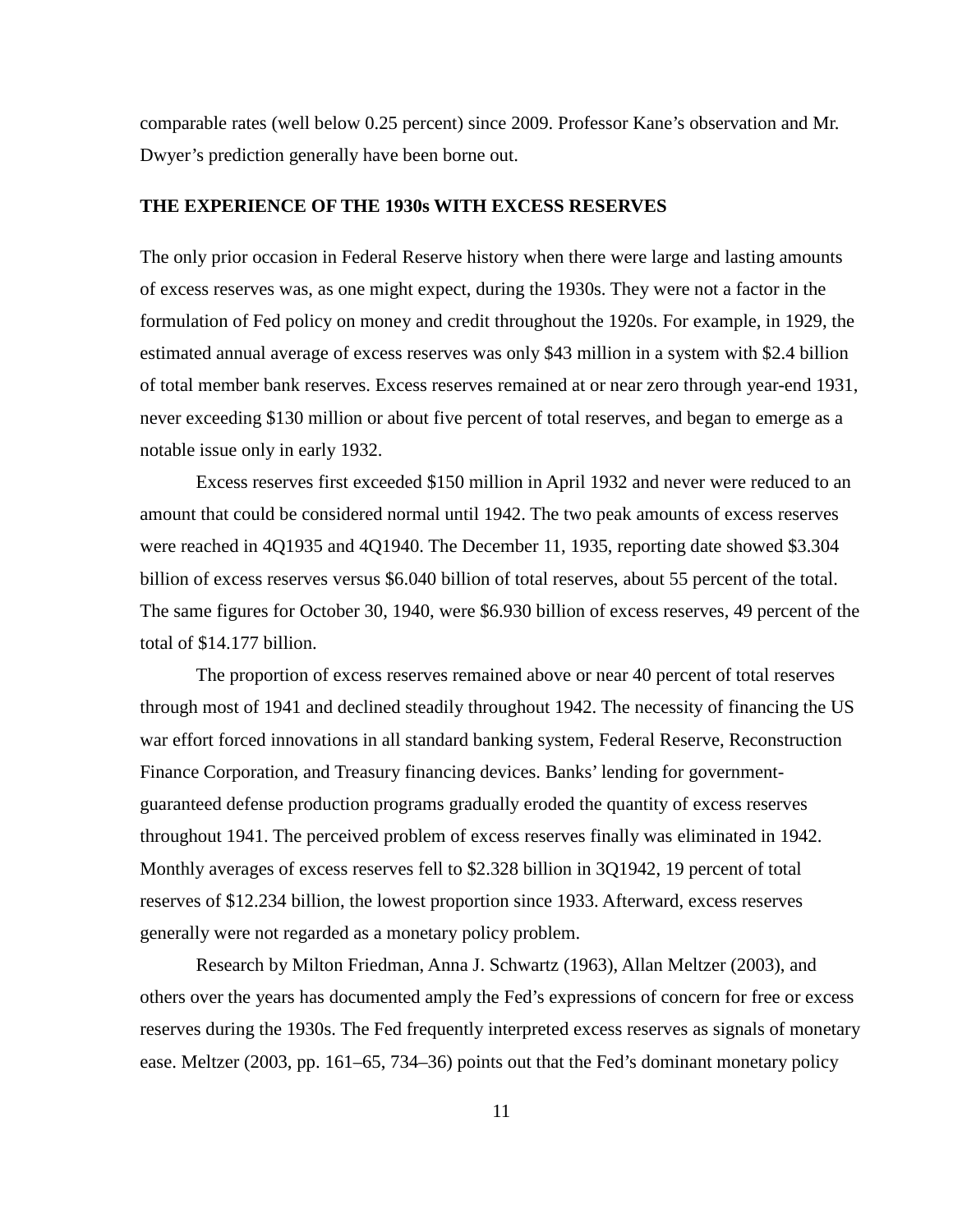comparable rates (well below 0.25 percent) since 2009. Professor Kane's observation and Mr. Dwyer's prediction generally have been borne out.

## **THE EXPERIENCE OF THE 1930s WITH EXCESS RESERVES**

The only prior occasion in Federal Reserve history when there were large and lasting amounts of excess reserves was, as one might expect, during the 1930s. They were not a factor in the formulation of Fed policy on money and credit throughout the 1920s. For example, in 1929, the estimated annual average of excess reserves was only \$43 million in a system with \$2.4 billion of total member bank reserves. Excess reserves remained at or near zero through year-end 1931, never exceeding \$130 million or about five percent of total reserves, and began to emerge as a notable issue only in early 1932.

Excess reserves first exceeded \$150 million in April 1932 and never were reduced to an amount that could be considered normal until 1942. The two peak amounts of excess reserves were reached in 4Q1935 and 4Q1940. The December 11, 1935, reporting date showed \$3.304 billion of excess reserves versus \$6.040 billion of total reserves, about 55 percent of the total. The same figures for October 30, 1940, were \$6.930 billion of excess reserves, 49 percent of the total of \$14.177 billion.

The proportion of excess reserves remained above or near 40 percent of total reserves through most of 1941 and declined steadily throughout 1942. The necessity of financing the US war effort forced innovations in all standard banking system, Federal Reserve, Reconstruction Finance Corporation, and Treasury financing devices. Banks' lending for governmentguaranteed defense production programs gradually eroded the quantity of excess reserves throughout 1941. The perceived problem of excess reserves finally was eliminated in 1942. Monthly averages of excess reserves fell to \$2.328 billion in 3Q1942, 19 percent of total reserves of \$12.234 billion, the lowest proportion since 1933. Afterward, excess reserves generally were not regarded as a monetary policy problem.

Research by Milton Friedman, Anna J. Schwartz (1963), Allan Meltzer (2003), and others over the years has documented amply the Fed's expressions of concern for free or excess reserves during the 1930s. The Fed frequently interpreted excess reserves as signals of monetary ease. Meltzer (2003, pp. 161–65, 734–36) points out that the Fed's dominant monetary policy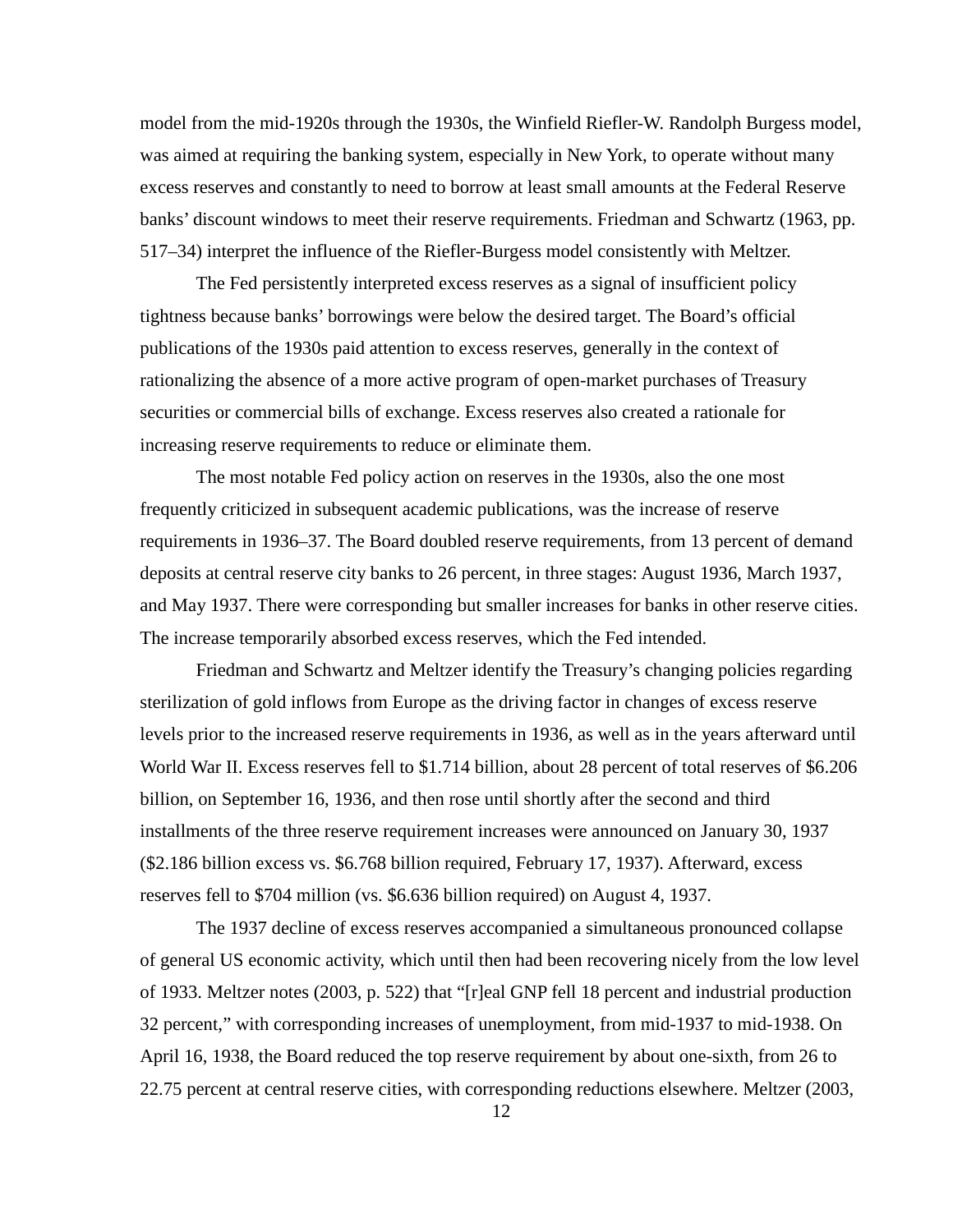model from the mid-1920s through the 1930s, the Winfield Riefler-W. Randolph Burgess model, was aimed at requiring the banking system, especially in New York, to operate without many excess reserves and constantly to need to borrow at least small amounts at the Federal Reserve banks' discount windows to meet their reserve requirements. Friedman and Schwartz (1963, pp. 517–34) interpret the influence of the Riefler-Burgess model consistently with Meltzer.

The Fed persistently interpreted excess reserves as a signal of insufficient policy tightness because banks' borrowings were below the desired target. The Board's official publications of the 1930s paid attention to excess reserves, generally in the context of rationalizing the absence of a more active program of open-market purchases of Treasury securities or commercial bills of exchange. Excess reserves also created a rationale for increasing reserve requirements to reduce or eliminate them.

The most notable Fed policy action on reserves in the 1930s, also the one most frequently criticized in subsequent academic publications, was the increase of reserve requirements in 1936–37. The Board doubled reserve requirements, from 13 percent of demand deposits at central reserve city banks to 26 percent, in three stages: August 1936, March 1937, and May 1937. There were corresponding but smaller increases for banks in other reserve cities. The increase temporarily absorbed excess reserves, which the Fed intended.

Friedman and Schwartz and Meltzer identify the Treasury's changing policies regarding sterilization of gold inflows from Europe as the driving factor in changes of excess reserve levels prior to the increased reserve requirements in 1936, as well as in the years afterward until World War II. Excess reserves fell to \$1.714 billion, about 28 percent of total reserves of \$6.206 billion, on September 16, 1936, and then rose until shortly after the second and third installments of the three reserve requirement increases were announced on January 30, 1937 (\$2.186 billion excess vs. \$6.768 billion required, February 17, 1937). Afterward, excess reserves fell to \$704 million (vs. \$6.636 billion required) on August 4, 1937.

The 1937 decline of excess reserves accompanied a simultaneous pronounced collapse of general US economic activity, which until then had been recovering nicely from the low level of 1933. Meltzer notes (2003, p. 522) that "[r]eal GNP fell 18 percent and industrial production 32 percent," with corresponding increases of unemployment, from mid-1937 to mid-1938. On April 16, 1938, the Board reduced the top reserve requirement by about one-sixth, from 26 to 22.75 percent at central reserve cities, with corresponding reductions elsewhere. Meltzer (2003,

12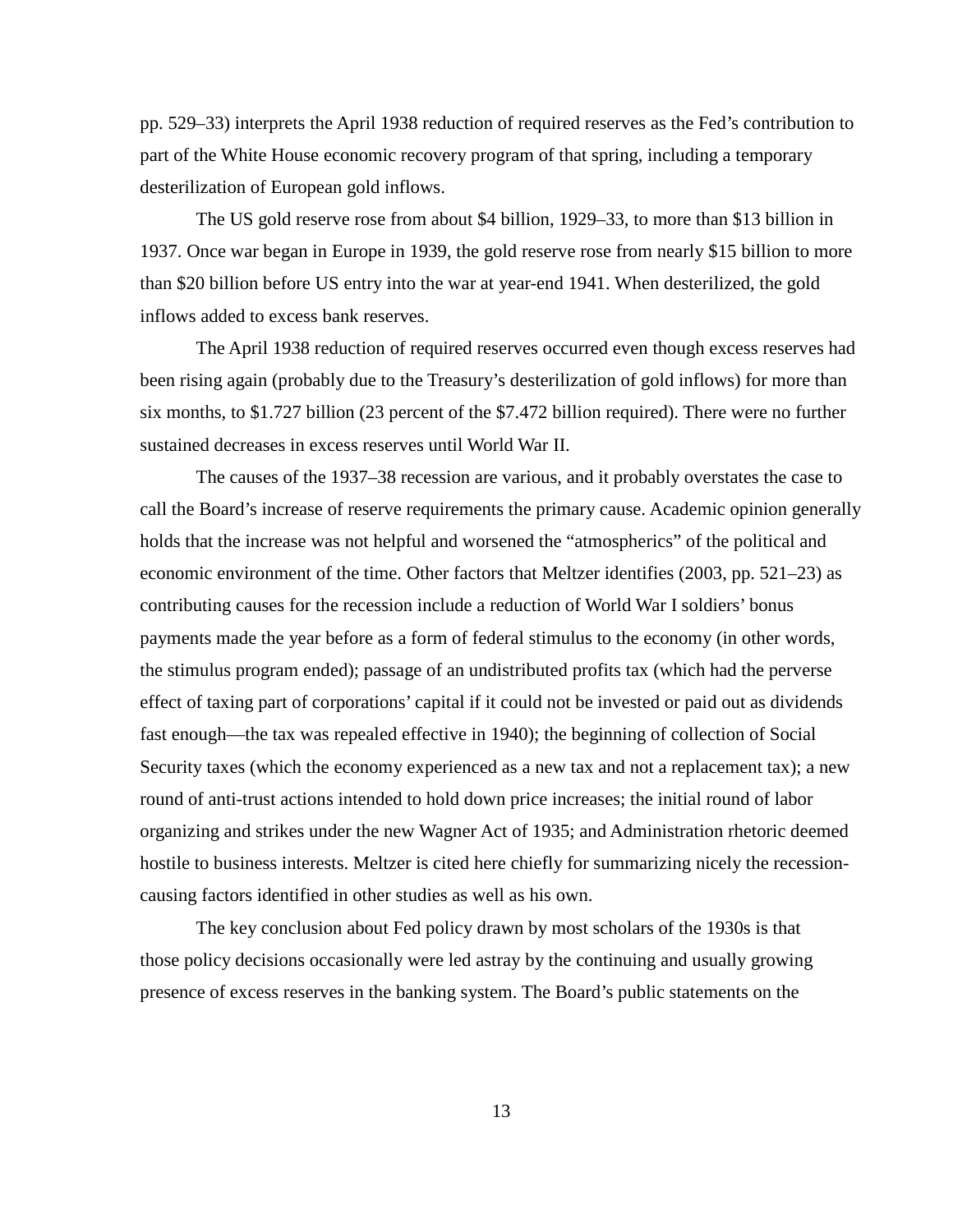pp. 529–33) interprets the April 1938 reduction of required reserves as the Fed's contribution to part of the White House economic recovery program of that spring, including a temporary desterilization of European gold inflows.

The US gold reserve rose from about \$4 billion, 1929–33, to more than \$13 billion in 1937. Once war began in Europe in 1939, the gold reserve rose from nearly \$15 billion to more than \$20 billion before US entry into the war at year-end 1941. When desterilized, the gold inflows added to excess bank reserves.

The April 1938 reduction of required reserves occurred even though excess reserves had been rising again (probably due to the Treasury's desterilization of gold inflows) for more than six months, to \$1.727 billion (23 percent of the \$7.472 billion required). There were no further sustained decreases in excess reserves until World War II.

The causes of the 1937–38 recession are various, and it probably overstates the case to call the Board's increase of reserve requirements the primary cause. Academic opinion generally holds that the increase was not helpful and worsened the "atmospherics" of the political and economic environment of the time. Other factors that Meltzer identifies (2003, pp. 521–23) as contributing causes for the recession include a reduction of World War I soldiers' bonus payments made the year before as a form of federal stimulus to the economy (in other words, the stimulus program ended); passage of an undistributed profits tax (which had the perverse effect of taxing part of corporations' capital if it could not be invested or paid out as dividends fast enough—the tax was repealed effective in 1940); the beginning of collection of Social Security taxes (which the economy experienced as a new tax and not a replacement tax); a new round of anti-trust actions intended to hold down price increases; the initial round of labor organizing and strikes under the new Wagner Act of 1935; and Administration rhetoric deemed hostile to business interests. Meltzer is cited here chiefly for summarizing nicely the recessioncausing factors identified in other studies as well as his own.

The key conclusion about Fed policy drawn by most scholars of the 1930s is that those policy decisions occasionally were led astray by the continuing and usually growing presence of excess reserves in the banking system. The Board's public statements on the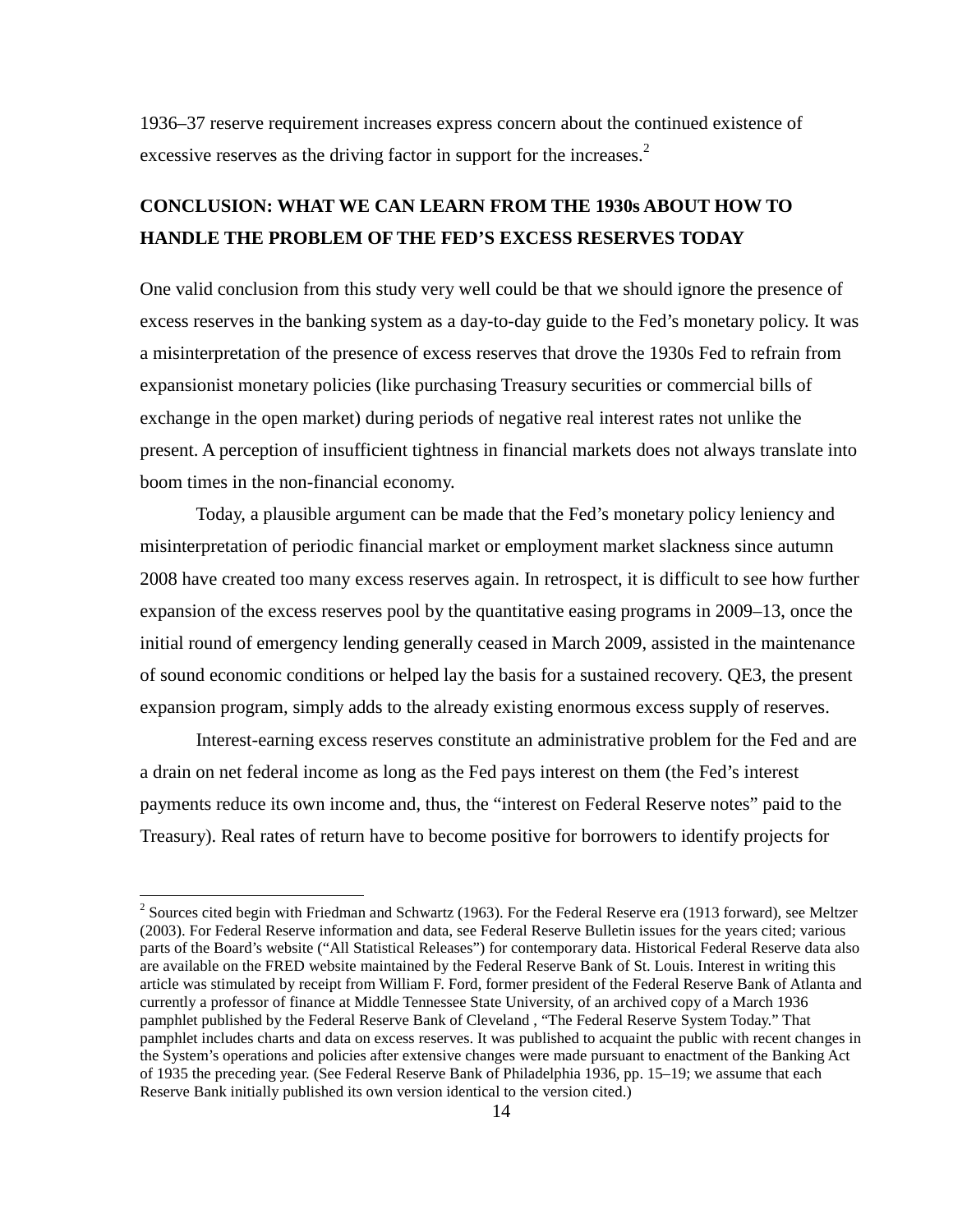1936–37 reserve requirement increases express concern about the continued existence of excessive reserves as the driving factor in support for the increases. $<sup>2</sup>$  $<sup>2</sup>$  $<sup>2</sup>$ </sup>

# **CONCLUSION: WHAT WE CAN LEARN FROM THE 1930s ABOUT HOW TO HANDLE THE PROBLEM OF THE FED'S EXCESS RESERVES TODAY**

One valid conclusion from this study very well could be that we should ignore the presence of excess reserves in the banking system as a day-to-day guide to the Fed's monetary policy. It was a misinterpretation of the presence of excess reserves that drove the 1930s Fed to refrain from expansionist monetary policies (like purchasing Treasury securities or commercial bills of exchange in the open market) during periods of negative real interest rates not unlike the present. A perception of insufficient tightness in financial markets does not always translate into boom times in the non-financial economy.

Today, a plausible argument can be made that the Fed's monetary policy leniency and misinterpretation of periodic financial market or employment market slackness since autumn 2008 have created too many excess reserves again. In retrospect, it is difficult to see how further expansion of the excess reserves pool by the quantitative easing programs in 2009–13, once the initial round of emergency lending generally ceased in March 2009, assisted in the maintenance of sound economic conditions or helped lay the basis for a sustained recovery. QE3, the present expansion program, simply adds to the already existing enormous excess supply of reserves.

Interest-earning excess reserves constitute an administrative problem for the Fed and are a drain on net federal income as long as the Fed pays interest on them (the Fed's interest payments reduce its own income and, thus, the "interest on Federal Reserve notes" paid to the Treasury). Real rates of return have to become positive for borrowers to identify projects for

<span id="page-14-0"></span><sup>&</sup>lt;sup>2</sup> Sources cited begin with Friedman and Schwartz (1963). For the Federal Reserve era (1913 forward), see Meltzer (2003). For Federal Reserve information and data, see Federal Reserve Bulletin issues for the years cited; various parts of the Board's website ("All Statistical Releases") for contemporary data. Historical Federal Reserve data also are available on the FRED website maintained by the Federal Reserve Bank of St. Louis. Interest in writing this article was stimulated by receipt from William F. Ford, former president of the Federal Reserve Bank of Atlanta and currently a professor of finance at Middle Tennessee State University, of an archived copy of a March 1936 pamphlet published by the Federal Reserve Bank of Cleveland , "The Federal Reserve System Today." That pamphlet includes charts and data on excess reserves. It was published to acquaint the public with recent changes in the System's operations and policies after extensive changes were made pursuant to enactment of the Banking Act of 1935 the preceding year. (See Federal Reserve Bank of Philadelphia 1936, pp. 15–19; we assume that each Reserve Bank initially published its own version identical to the version cited.)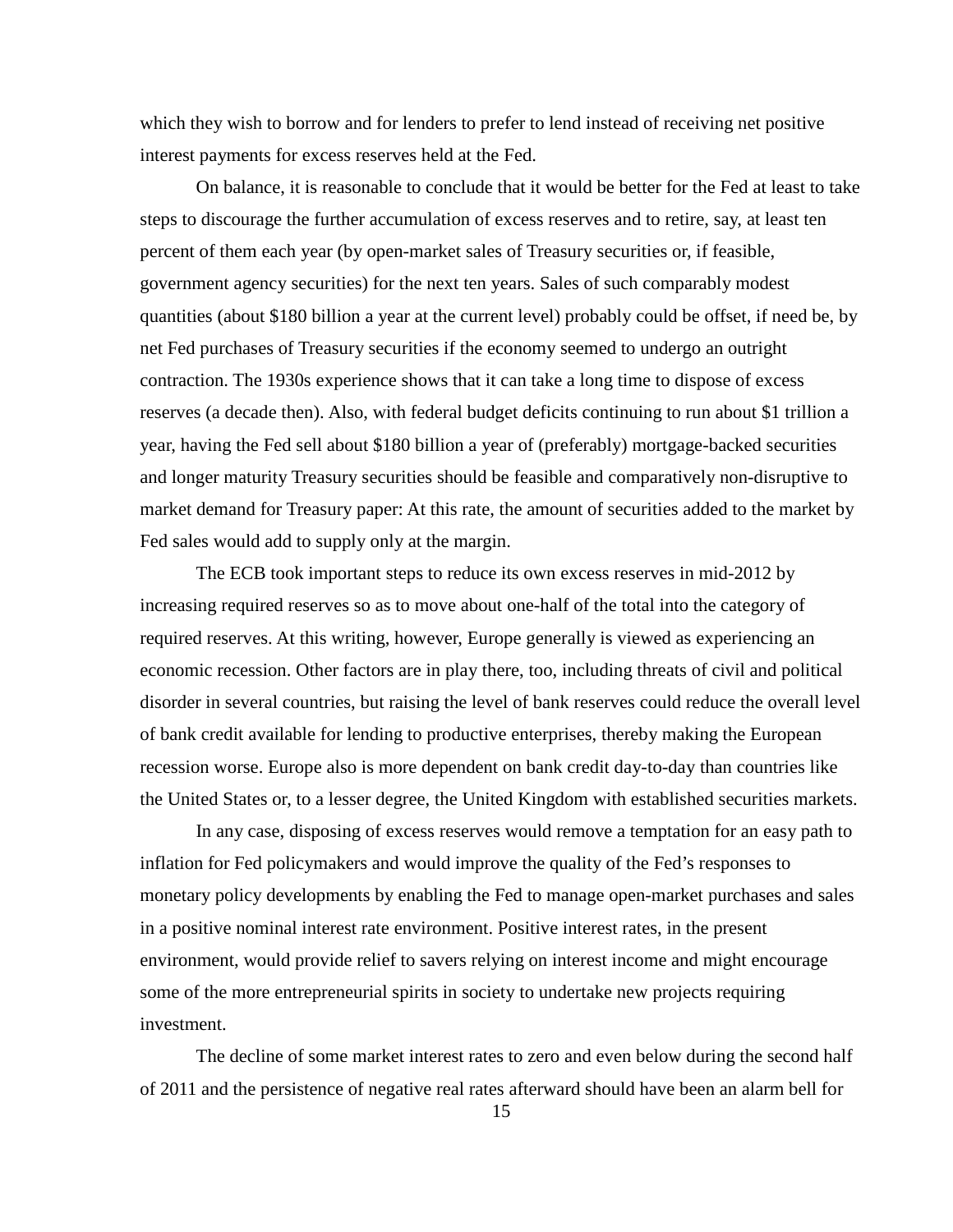which they wish to borrow and for lenders to prefer to lend instead of receiving net positive interest payments for excess reserves held at the Fed.

On balance, it is reasonable to conclude that it would be better for the Fed at least to take steps to discourage the further accumulation of excess reserves and to retire, say, at least ten percent of them each year (by open-market sales of Treasury securities or, if feasible, government agency securities) for the next ten years. Sales of such comparably modest quantities (about \$180 billion a year at the current level) probably could be offset, if need be, by net Fed purchases of Treasury securities if the economy seemed to undergo an outright contraction. The 1930s experience shows that it can take a long time to dispose of excess reserves (a decade then). Also, with federal budget deficits continuing to run about \$1 trillion a year, having the Fed sell about \$180 billion a year of (preferably) mortgage-backed securities and longer maturity Treasury securities should be feasible and comparatively non-disruptive to market demand for Treasury paper: At this rate, the amount of securities added to the market by Fed sales would add to supply only at the margin.

The ECB took important steps to reduce its own excess reserves in mid-2012 by increasing required reserves so as to move about one-half of the total into the category of required reserves. At this writing, however, Europe generally is viewed as experiencing an economic recession. Other factors are in play there, too, including threats of civil and political disorder in several countries, but raising the level of bank reserves could reduce the overall level of bank credit available for lending to productive enterprises, thereby making the European recession worse. Europe also is more dependent on bank credit day-to-day than countries like the United States or, to a lesser degree, the United Kingdom with established securities markets.

In any case, disposing of excess reserves would remove a temptation for an easy path to inflation for Fed policymakers and would improve the quality of the Fed's responses to monetary policy developments by enabling the Fed to manage open-market purchases and sales in a positive nominal interest rate environment. Positive interest rates, in the present environment, would provide relief to savers relying on interest income and might encourage some of the more entrepreneurial spirits in society to undertake new projects requiring investment.

The decline of some market interest rates to zero and even below during the second half of 2011 and the persistence of negative real rates afterward should have been an alarm bell for

15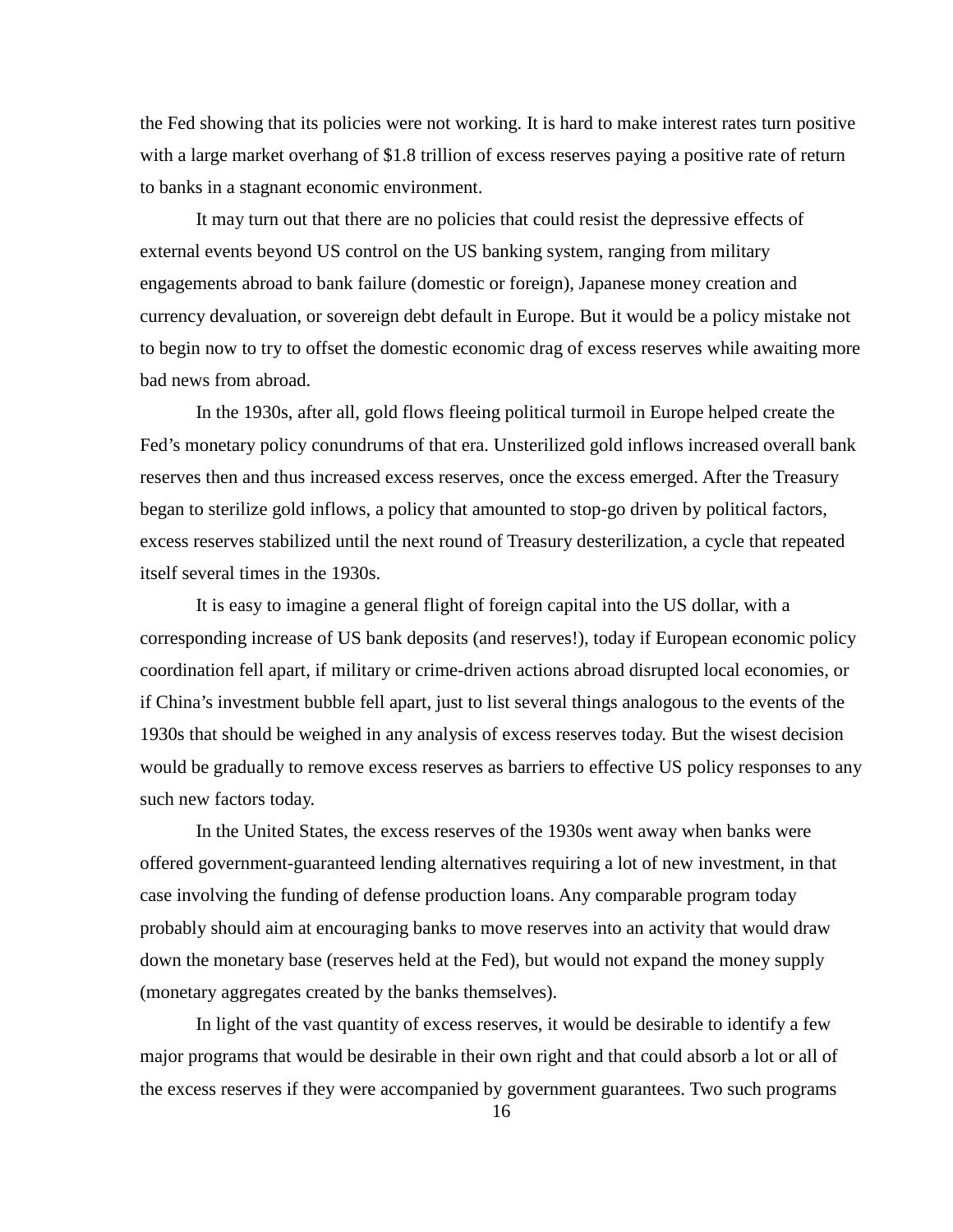the Fed showing that its policies were not working. It is hard to make interest rates turn positive with a large market overhang of \$1.8 trillion of excess reserves paying a positive rate of return to banks in a stagnant economic environment.

It may turn out that there are no policies that could resist the depressive effects of external events beyond US control on the US banking system, ranging from military engagements abroad to bank failure (domestic or foreign), Japanese money creation and currency devaluation, or sovereign debt default in Europe. But it would be a policy mistake not to begin now to try to offset the domestic economic drag of excess reserves while awaiting more bad news from abroad.

In the 1930s, after all, gold flows fleeing political turmoil in Europe helped create the Fed's monetary policy conundrums of that era. Unsterilized gold inflows increased overall bank reserves then and thus increased excess reserves, once the excess emerged. After the Treasury began to sterilize gold inflows, a policy that amounted to stop-go driven by political factors, excess reserves stabilized until the next round of Treasury desterilization, a cycle that repeated itself several times in the 1930s.

It is easy to imagine a general flight of foreign capital into the US dollar, with a corresponding increase of US bank deposits (and reserves!), today if European economic policy coordination fell apart, if military or crime-driven actions abroad disrupted local economies, or if China's investment bubble fell apart, just to list several things analogous to the events of the 1930s that should be weighed in any analysis of excess reserves today. But the wisest decision would be gradually to remove excess reserves as barriers to effective US policy responses to any such new factors today.

In the United States, the excess reserves of the 1930s went away when banks were offered government-guaranteed lending alternatives requiring a lot of new investment, in that case involving the funding of defense production loans. Any comparable program today probably should aim at encouraging banks to move reserves into an activity that would draw down the monetary base (reserves held at the Fed), but would not expand the money supply (monetary aggregates created by the banks themselves).

In light of the vast quantity of excess reserves, it would be desirable to identify a few major programs that would be desirable in their own right and that could absorb a lot or all of the excess reserves if they were accompanied by government guarantees. Two such programs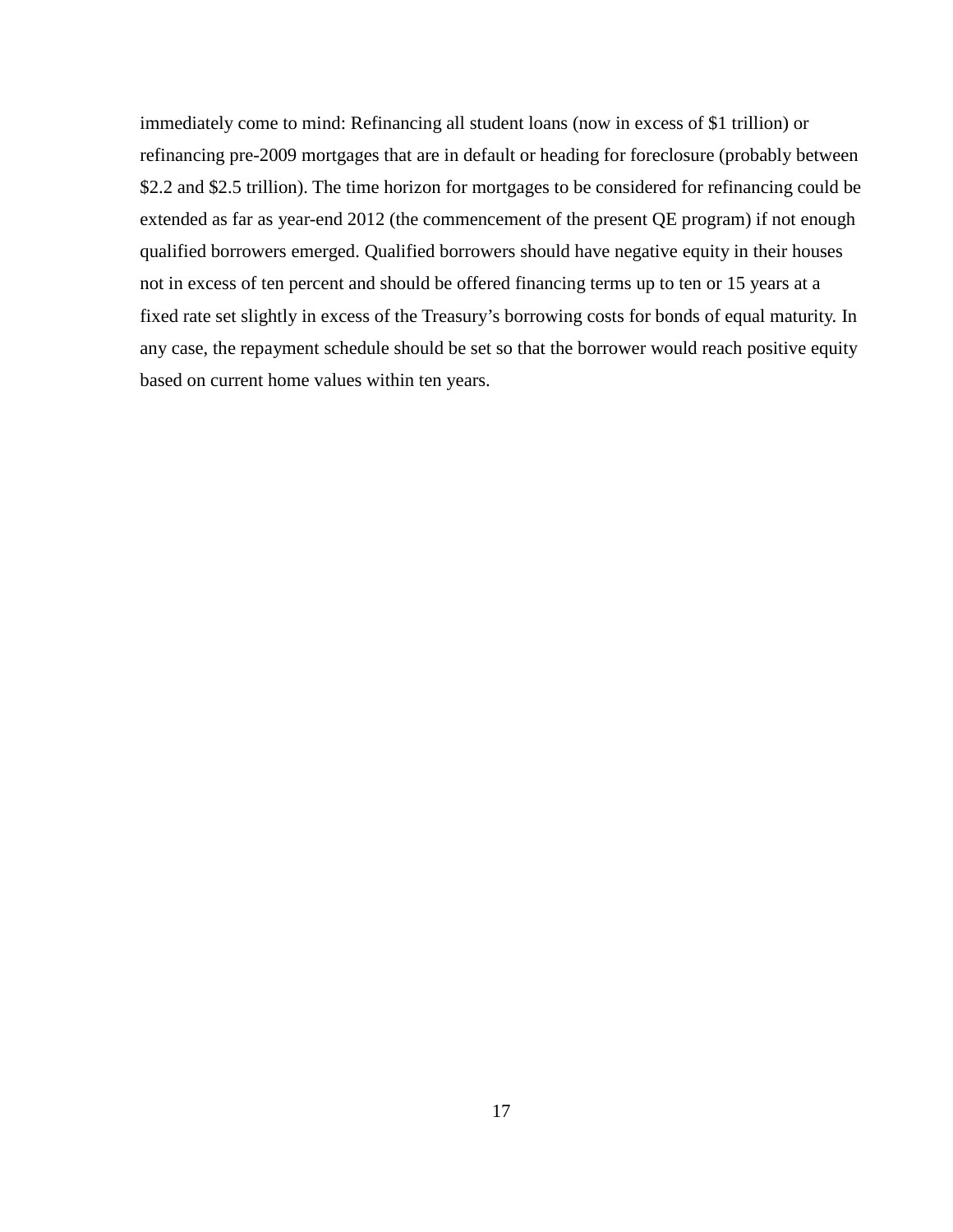immediately come to mind: Refinancing all student loans (now in excess of \$1 trillion) or refinancing pre-2009 mortgages that are in default or heading for foreclosure (probably between \$2.2 and \$2.5 trillion). The time horizon for mortgages to be considered for refinancing could be extended as far as year-end 2012 (the commencement of the present QE program) if not enough qualified borrowers emerged. Qualified borrowers should have negative equity in their houses not in excess of ten percent and should be offered financing terms up to ten or 15 years at a fixed rate set slightly in excess of the Treasury's borrowing costs for bonds of equal maturity. In any case, the repayment schedule should be set so that the borrower would reach positive equity based on current home values within ten years.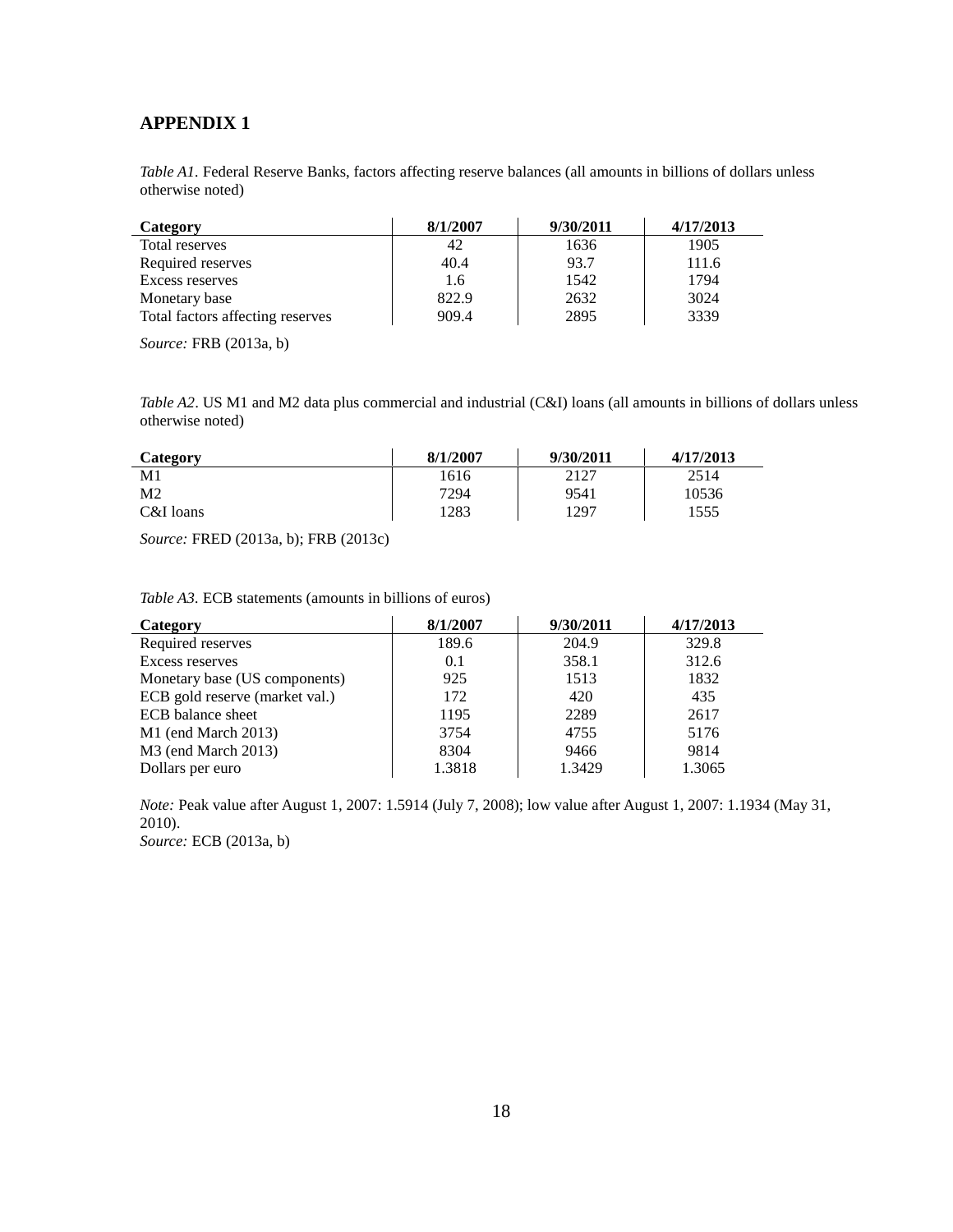## **APPENDIX 1**

*Table A1.* Federal Reserve Banks, factors affecting reserve balances (all amounts in billions of dollars unless otherwise noted)

| Category                         | 8/1/2007 | 9/30/2011 | 4/17/2013 |
|----------------------------------|----------|-----------|-----------|
| Total reserves                   | 42       | 1636      | 1905      |
| Required reserves                | 40.4     | 93.7      | 111.6     |
| Excess reserves                  | 1.6      | 1542      | 1794      |
| Monetary base                    | 822.9    | 2632      | 3024      |
| Total factors affecting reserves | 909.4    | 2895      | 3339      |

*Source:* FRB (2013a, b)

*Table A2*. US M1 and M2 data plus commercial and industrial (C&I) loans (all amounts in billions of dollars unless otherwise noted)

| <b>Category</b> | 8/1/2007 | 9/30/2011 | 4/17/2013 |
|-----------------|----------|-----------|-----------|
| M1              | 1616     | 2127      | 2514      |
| M <sub>2</sub>  | 7294     | 9541      | 10536     |
| C&I loans       | 1283     | 1297      | 1555      |

*Source:* FRED (2013a, b); FRB (2013c)

*Table A3.* ECB statements (amounts in billions of euros)

| Category                        | 8/1/2007 | 9/30/2011 | 4/17/2013 |
|---------------------------------|----------|-----------|-----------|
| Required reserves               | 189.6    | 204.9     | 329.8     |
| Excess reserves                 | 0.1      | 358.1     | 312.6     |
| Monetary base (US components)   | 925      | 1513      | 1832      |
| ECB gold reserve (market val.)  | 172      | 420       | 435       |
| ECB balance sheet               | 1195     | 2289      | 2617      |
| $M1$ (end March 2013)           | 3754     | 4755      | 5176      |
| M <sub>3</sub> (end March 2013) | 8304     | 9466      | 9814      |
| Dollars per euro                | 1.3818   | 1.3429    | 1.3065    |

*Note:* Peak value after August 1, 2007: 1.5914 (July 7, 2008); low value after August 1, 2007: 1.1934 (May 31, 2010).

*Source:* ECB (2013a, b)